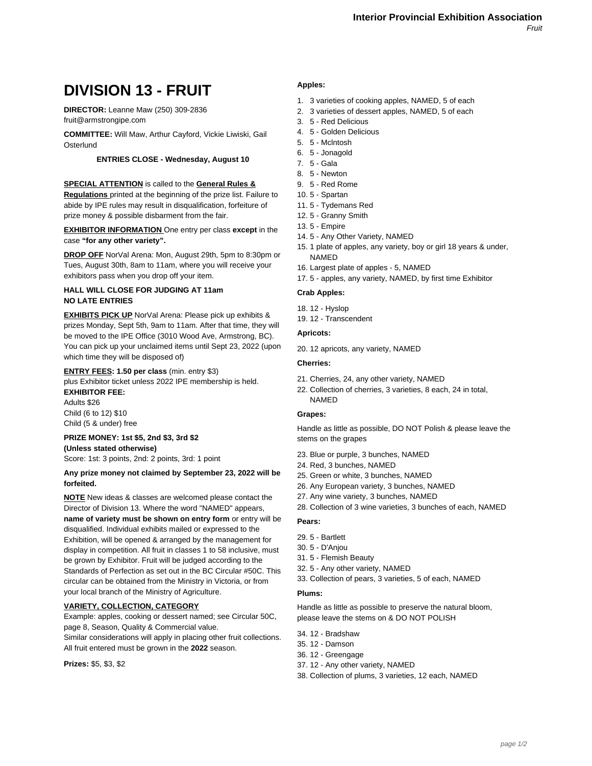# **DIVISION 13 - FRUIT**

**DIRECTOR:** Leanne Maw (250) 309-2836 fruit@armstrongipe.com

**COMMITTEE:** Will Maw, Arthur Cayford, Vickie Liwiski, Gail **Osterlund** 

#### **ENTRIES CLOSE - Wednesday, August 10**

#### **SPECIAL ATTENTION** is called to the **General Rules &**

**Regulations** printed at the beginning of the prize list. Failure to abide by IPE rules may result in disqualification, forfeiture of prize money & possible disbarment from the fair.

**EXHIBITOR INFORMATION** One entry per class **except** in the case **"for any other variety".**

**DROP OFF** NorVal Arena: Mon, August 29th, 5pm to 8:30pm or Tues, August 30th, 8am to 11am, where you will receive your exhibitors pass when you drop off your item.

#### **HALL WILL CLOSE FOR JUDGING AT 11am NO LATE ENTRIES**

**EXHIBITS PICK UP** NorVal Arena: Please pick up exhibits & prizes Monday, Sept 5th, 9am to 11am. After that time, they will be moved to the IPE Office (3010 Wood Ave, Armstrong, BC). You can pick up your unclaimed items until Sept 23, 2022 (upon which time they will be disposed of)

## **ENTRY FEES: 1.50 per class** (min. entry \$3)

plus Exhibitor ticket unless 2022 IPE membership is held. **EXHIBITOR FEE:**

Adults \$26 Child (6 to 12) \$10 Child (5 & under) free

#### **PRIZE MONEY: 1st \$5, 2nd \$3, 3rd \$2**

**(Unless stated otherwise)** Score: 1st: 3 points, 2nd: 2 points, 3rd: 1 point

#### **Any prize money not claimed by September 23, 2022 will be forfeited.**

**NOTE** New ideas & classes are welcomed please contact the Director of Division 13. Where the word "NAMED" appears, **name of variety must be shown on entry form** or entry will be disqualified. Individual exhibits mailed or expressed to the Exhibition, will be opened & arranged by the management for display in competition. All fruit in classes 1 to 58 inclusive, must be grown by Exhibitor. Fruit will be judged according to the Standards of Perfection as set out in the BC Circular #50C. This circular can be obtained from the Ministry in Victoria, or from your local branch of the Ministry of Agriculture.

#### **VARIETY, COLLECTION, CATEGORY**

Example: apples, cooking or dessert named; see Circular 50C, page 8, Season, Quality & Commercial value.

Similar considerations will apply in placing other fruit collections. All fruit entered must be grown in the **2022** season.

**Prizes:** \$5, \$3, \$2

#### **Apples:**

- 1. 3 varieties of cooking apples, NAMED, 5 of each
- 2. 3 varieties of dessert apples, NAMED, 5 of each
	- 3. 5 Red Delicious
	- 4. 5 Golden Delicious
	- 5. 5 Mclntosh
	- 6. 5 Jonagold
	- 7. 5 Gala
	- 8. 5 Newton
	- 9. 5 Red Rome
	- 10. 5 Spartan
	- 11. 5 Tydemans Red
	- 12. 5 Granny Smith
	- 13. 5 Empire
	- 14. 5 Any Other Variety, NAMED
	- 15. 1 plate of apples, any variety, boy or girl 18 years & under, NAMED
	- 16. Largest plate of apples 5, NAMED
	- 17. 5 apples, any variety, NAMED, by first time Exhibitor

#### **Crab Apples:**

- 18. 12 Hyslop
- 19. 12 Transcendent

## **Apricots:**

20. 12 apricots, any variety, NAMED

#### **Cherries:**

- 21. Cherries, 24, any other variety, NAMED
- 22. Collection of cherries, 3 varieties, 8 each, 24 in total, NAMED

## **Grapes:**

Handle as little as possible, DO NOT Polish & please leave the stems on the grapes

- 23. Blue or purple, 3 bunches, NAMED
- 24. Red, 3 bunches, NAMED
- 25. Green or white, 3 bunches, NAMED
- 26. Any European variety, 3 bunches, NAMED
- 27. Any wine variety, 3 bunches, NAMED
- 28. Collection of 3 wine varieties, 3 bunches of each, NAMED

#### **Pears:**

- 29. 5 Bartlett
- 30. 5 D'Anjou
- 31. 5 Flemish Beauty
- 32. 5 Any other variety, NAMED
- 33. Collection of pears, 3 varieties, 5 of each, NAMED

#### **Plums:**

Handle as little as possible to preserve the natural bloom, please leave the stems on & DO NOT POLISH

- 34. 12 Bradshaw
- 35. 12 Damson
- 36. 12 Greengage
- 37. 12 Any other variety, NAMED
- 38. Collection of plums, 3 varieties, 12 each, NAMED